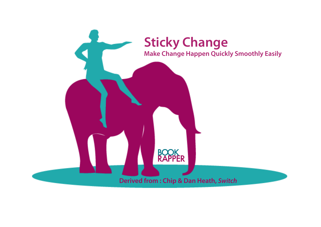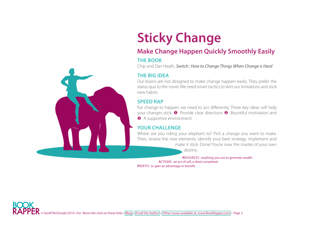## **Sticky Change**

### **Make Change Happen Quickly Smoothly Easily**

#### **The Book**

Chip and Dan Heath, *Switch : How to Change Things When Change is Hard*

#### **The Big Idea**

Our brains are not designed to make change happen easily. They prefer the status quo to the novel. We need smart tactics to skirt our limitations and stick new habits.

#### **Speed RAP**

For change to happen we need to act differently. Three key ideas will help your changes stick:  $\bullet$  Provide clear directions  $\bullet$  Bountiful motivation and **A** supportive environment.

#### **Your Challenge**

Where are you riding your elephant to? Pick a change you want to make. Then, review the nine elements, identify your best strategy, implement and make it stick. Done! You're now the master of your own

destiny.

**R**ESOURCES : anything you use to generate wealth. **A**CTIONS : an act of will, a deed completed.

**P**ROFITS : to gain an advantage or benefit.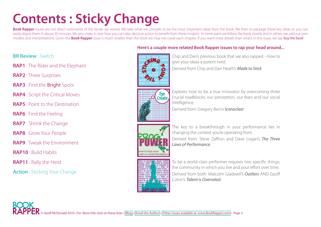## **Contents : Sticky Change**

Book Rapper Issues are not direct summaries of the books we review. We take what we consider to be the most important ideas from the book. We then re-package these key ideas so you can easily digest them in about 30 minutes. We also make it clear how you can take decisive action to benefit from these insights. In some parts we follow the book closely and in others we add our own models and interpretations. Given the **Book Rapper** Issue is much smaller than the book we may not cover each chapter. If you want more details than what's in this issue, we say '*buy the book*'.

#### **[BR Review](#page-3-0)** : Switch

**[RAP1](#page-6-0)** : The Rider and the Elephant

**RAP2** : Three Surprises

**RAP3** : Find the Bright Spots

**RAP4** : Script the Critical Moves

**RAP5** : Point to the Destination

**RAP6** : Find the Feeling

**RAP7** : Shrink the Change

**RAP8** : Grow Your People

**RAP9** : Tweak the Environment

**RAP10** : Build Habits

**RAP11** : Rally the Herd

**Action** : Sticking Your Change





Chip and Dan's previous book that we also rapped - How to give your ideas a potent twist. Derived from Chip and Dan Heath's *Made to Stick*



Explores how to be a true innovator by overcoming three crucial roadblocks: our perception, our fears and our social intelligence.

Derived from: Gregory Berns' *Iconoclast*.



The key to a breakthrough in your performance lies in changing the context you're operating from. Derived from: Steve Zaffron and Dave Logan's *The Three Laws of Performance*.

To be a world-class performer requires two specific things: the community in which you live and your effort over time. Derived from both: Malcolm Gladwell's *Outliers* AND Geoff Colvin's *Talent is Overrated*.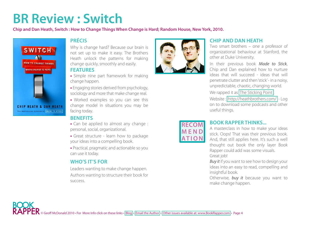### <span id="page-3-0"></span>**BR Review : Switch**

**Chip and Dan Heath, Switch : How to Change Things When Change is Hard; Random House, New York, 2010.** 



#### **Précis**

Why is change hard? Because our brain is not set up to make it easy. The Brothers Heath unlock the patterns for making change quickly, smoothly and easily.

#### **Features**

• Simple nine part framework for making change happen.

• Engaging stories derived from psychology, sociology and more that make change real.

• Worked examples so you can see this change model in situations you may be facing today.

#### **Benefits**

• Can be applied to almost any change : personal, social, organizational.

• Great structure - learn how to package your ideas into a compelling book.

• Practical, pragmatic and actionable so you can use it today.

#### **Who's It's For**

Leaders wanting to make change happen. Authors wanting to structure their book for success.



**RECOM M E N D** 

**A T I O N**

#### **Chip and Dan Heath**

Two smart brothers – one a professor of organizational behaviour at Stanford, the other at Duke University.

In their previous book *Made to Stick*, Chip and Dan explained how to nurture ideas that will succeed - ideas that will penetrate clutter and then 'stick' - in a noisy, unpredictable, chaotic, changing world.

We rapped it as The Sticking Point.

Website : [http://heathbrothers.com/](http://heathbrothers.com/switch/) - Log on to download some podcasts and other useful things.

#### **Book Rapper Thinks...**

A masterclass in how to make your ideas stick. Oops! That was their previous book. And, that still applies here. It's such a well thought out book the only layer Book Rapper could add was some visuals. Great job!

*Buy it* if you want to see how to design your ideas into an easy to read, compelling and insightful book.

Otherwise, *buy it* because you want to make change happen.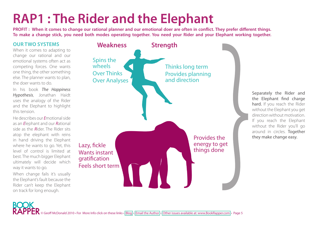## **RAP1 : The Rider and the Elephant**

**PROFIT : When it comes to change our rational planner and our emotional doer are often in conflict. They prefer different things. To make a change stick, you need both modes operating together. You need your Rider and your Elephant working together.** 

#### **Our Two Systems**

When it comes to adapting to change our rational and our emotional systems often act as competing forces. One wants one thing, the other something else. The planner wants to plan, the doer wants to do.

In his book *The Happiness Hypothesis*, Jonathan Haidt uses the analogy of the Rider and the Elephant to highlight this tension.

He describes our *E*motional side as an *E*lephant and our *R*ational side as the *R*ider. The Rider sits atop the elephant with reins in hand driving the Elephant where he wants to go. Yet, this level of control is limited at best. The much bigger Elephant ultimately will decide which way it wants to go.

When change fails it's usually the Elephant's fault because the Rider can't keep the Elephant on track for long enough.



Separately the Rider and the Elephant find charge hard. If you reach the Rider without the Elephant you get direction without motivation. If you reach the Elephant without the Rider you'll go around in circles. Together Provides the they make change easy.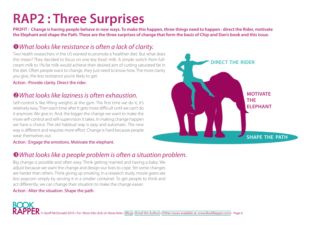### **RAP2 : Three Surprises**

**PROFIT : Change is having people behave in new ways. To make this happen, three things need to happen : direct the Rider, motivate the Elephant and shape the Path. These are the three surprises of change that form the basis of Chip and Dan's book and this issue.** 

### *What looks like resistance is often a lack of clarity.*

Two health researchers in the US wanted to promote a 'healthier diet'. But what does this mean? They decided to focus on one key food: milk. A simple switch from fullcream milk to 1% fat milk would achieve their desired aim of cutting saturated fat in the diet. Often people want to change, they just need to know how. The more clarity you give, the less resistance you're likely to get.

Action : Provide clarity. Direct the rider.

### *What looks like laziness is often exhaustion.*

Self-control is like lifting weights at the gym. The first time we do it, it's relatively easy. Then each time after it gets more difficult until we can't do it anymore. We give in. And, the bigger the change we want to make the more self-control and self-supervision it takes. In making change happen we have a choice. The old habitual way is easy and automatic. The new way is different and requires more effort. Change is hard because people wear themselves out.



#### Action : Engage the emotions. Motivate the elephant.

### *What looks like a people problem is often a situation problem.*

Big change is possible and often easy. Think getting married and having a baby. We adjust because we want the change and design our lives to cope. Yet some changes are harder than others. Think giving up smoking. In a research study, movie goers ate less popcorn simply by serving it in a smaller container. To get people to think and act differently, we can change their situation to make the change easier.

#### Action : Alter the situation. Shape the path.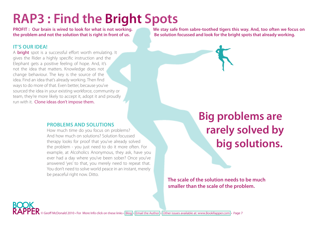## <span id="page-6-0"></span>**RAP3 : Find the Bright Spots**

#### **It's Our Idea!**

A **bright** spot is a successful effort worth emulating. It gives the Rider a highly specific instruction and the Elephant gets a positive feeling of hope. And, it's not the idea that matters. Knowledge does not change behaviour. The key is the source of the idea. Find an idea that's already working. Then find ways to do more of that. Even better, because you've sourced the idea in your existing workforce, community or team, they're more likely to accept it, adopt it and proudly run with it. Clone ideas don't impose them.

#### **PROBLEMS AND SOLUTIONS**

How much time do you focus on problems? And how much on solutions? Solution focussed therapy looks for proof that you've already solved the problem - you just need to do it more often. For example, at Alcoholics Anonymous, they ask, have you ever had a day where you've been sober? Once you've answered 'yes' to that, you merely need to repeat that. You don't need to solve world peace in an instant, merely be peaceful right now. Ditto.

**PROFIT : Our brain is wired to look for what is not working. We stay safe from sabre-toothed tigers this way. And, too often we focus on the problem and not the solution that is right in front of us. Be solution focussed and look for the bright spots that already working.** 

### **Big problems are rarely solved by big solutions.**

**The scale of the solution needs to be much smaller than the scale of the problem.**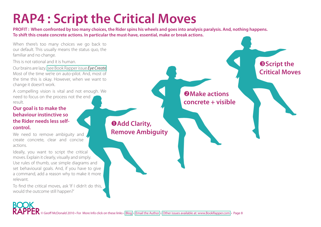## **RAP4 : Script the Critical Moves**

**PROFIT : When confronted by too many choices, the Rider spins his wheels and goes into analysis paralysis. And, nothing happens. To shift this create concrete actions. In particular the must-have, essential, make or break actions.** 

When there's too many choices we go back to our default. This usually means the status quo, the familiar and no change.

This is not rational and it is human.

Our brains are lazy. [see Book Rapper issue](http://www.bookrapper.com/Issues/Book_Rapper_Eye_Create.pdf) *Eye Create*  Most of the time we're on auto-pilot. And, most of the time this is okay. However, when we want to change it doesn't work.

A compelling vision is vital and not enough. We need to focus on the process not the end result.

#### **Our goal is to make the behaviour instinctive so the Rider needs less selfcontrol.**

We need to remove ambiguity and create concrete, clear and concise actions.

Ideally, you want to script the critical moves. Explain it clearly, visually and simply. Use rules of thumb, use simple diagrams and set behavioural goals. And, if you have to give a command, add a reason why to make it more relevant.

To find the critical moves, ask 'If I didn't do this, would the outcome still happen?'

**Add Clarity, Remove Ambiguity**

**Make actions concrete + visible**

**SScript the Critical Moves**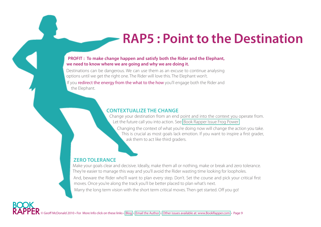### **RAP5 : Point to the Destination**

#### **PROFIT : To make change happen and satisfy both the Rider and the Elephant, we need to know where we are going and why we are doing it.**

Destinations can be dangerous. We can use them as an excuse to continue analysing options until we get the right one. The Rider will love this. The Elephant won't. If you redirect the energy from the what to the how you'll engage both the Rider and the Elephant.

#### **Contextualize the Change**

Change your destination from an end point and into the context you operate from. Let the future call you into action. See [Book Rapper Issue Frog Power](http://www.bookrapper.com/Issues/Book_Rapper_Frog_Power.pdf)

Changing the context of what you're doing now will change the action you take. This is crucial as most goals lack emotion. If you want to inspire a first grader, ask them to act like third graders.

#### **Zero Tolerance**

Make your goals clear and decisive. Ideally, make them all or nothing, make or break and zero tolerance. They're easier to manage this way and you'll avoid the Rider wasting time looking for loopholes.

And, beware the Rider who'll want to plan every step. Don't. Set the course and pick your critical first moves. Once you're along the track you'll be better placed to plan what's next.

Marry the long term vision with the short term critical moves. Then get started. Off you go!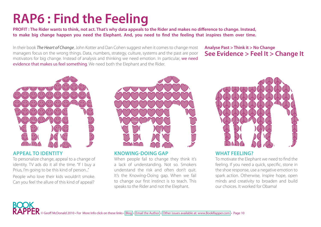## **RAP6 : Find the Feeling**

**PROFIT : The Rider wants to think, not act. That's why data appeals to the Rider and makes no difference to change. Instead, to make big change happen you need the Elephant. And, you need to find the feeling that inspires them over time.** 

In their book *The Heart of Change*, John Kotter and Dan Cohen suggest when it comes to change most managers focus on the wrong things. Data, numbers, strategy, culture, systems and the past are poor motivators for big change. Instead of analysis and thinking we need emotion. In particular, we need evidence that makes us feel something. We need both the Elephant and the Rider.

#### **Analyse Past > Think it > No Change See Evidence > Feel It > Change It**



#### **Appeal to Identity**

To personalize change, appeal to a change of identity. TV ads do it all the time. "If I buy a Prius, I'm going to be this kind of person..."

People who love their kids wouldn't smoke. Can you feel the allure of this kind of appeal?



#### **Knowing-Doing Gap**

When people fail to change they think it's a lack of understanding. Not so. Smokers understand the risk and often don't quit. It's the Knowing-Doing gap. When we fail to change our first instinct is to teach. This speaks to the Rider and not the Elephant.



#### **What feeling?**

To motivate the Elephant we need to find the feeling. If you need a quick, specific, stone in the shoe response, use a negative emotion to spark action. Otherwise, inspire hope, open minds and creativity to broaden and build our choices. It worked for Obama!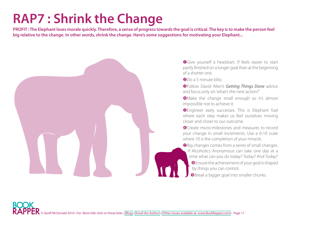## **RAP7 : Shrink the Change**

**PROFIT : The Elephant loses morale quickly. Therefore, a sense of progress towards the goal is critical. The key is to make the person feel big relative to the change. In other words, shrink the change. Here's some suggestions for motivating your Elephant...**



**O**Give yourself a headstart. If feels easier to start partly finished on a longer goal than at the beginning of a shorter one.

**a** Do a 5 minute blitz.

Follow David Allen's *Getting Things Done* advice and focus only on 'what's the next action?'

**O**Make the change small enough so it's almost impossible not to achieve it.

**O** Engineer early successes. This is Elephant fuel where each step makes us feel ourselves moving closer and closer to our outcome.

**O**Create micro-milestones and measures to record your change in small increments. Use a 0-10 scale where 10 is the completion of your miracle.

**O** Big changes comes from a series of small changes. If Alcoholics Anonymous can take one day at a time what can you do today? Today? And Today? Ensure the achievement of your goal is shaped by things you can control.

**O** Break a bigger goal into smaller chunks.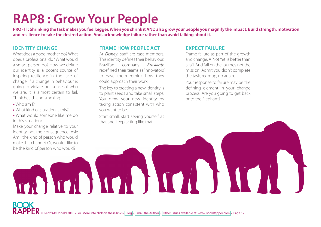### **RAP8 : Grow Your People**

**PROFIT : Shrinking the task makes you feel bigger. When you shrink it AND also grow your people you magnify the impact. Build strength, motivation and resilience to take the desired action. And, acknowledge failure rather than avoid talking about it.** 

#### **Identity Change**

What does a good mother do? What does a professional do? What would a smart person do? How we define our identity is a potent source of inspiring resilience in the face of change. If a change in behaviour is going to violate our sense of who we are, it is almost certain to fail. Think health and smoking.

- Who am I?
- What kind of situation is this?
- What would someone like me do in this situation?

Make your change relative to your identity not the consequence. Ask: Am I the kind of person who would make this change? Or, would I like to be the kind of person who would?

#### **Frame how people act**

At *Disney*, staff are cast members. This identity defines their behaviour. Brazilian company *Brasiliate* redefined their teams as 'innovators' to have them rethink how they could approach their work.

The key to creating a new identity is to plant seeds and take small steps. You grow your new identity by taking action consistent with who you want to be.

Start small, start seeing yourself as that and keep acting like that.

#### **Expect Failure**

Frame failure as part of the growth and change. A 'Not Yet' is better than a fail. And fail on the journey not the mission. Admit you didn't complete the task, regroup, go again.

Your response to failure may be the defining element in your change process. Are you going to get back onto the Elephant?

![](_page_11_Picture_15.jpeg)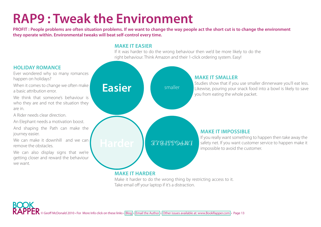### **RAP9 : Tweak the Environment**

**PROFIT : People problems are often situation problems. If we want to change the way people act the short cut is to change the environment they operate within. Environmental tweaks will beat self-control every time.** 

#### **Make it Easier**

If it was harder to do the wrong behaviour then we'd be more likely to do the right behaviour. Think Amazon and their 1-click ordering system. Easy!

![](_page_12_Figure_4.jpeg)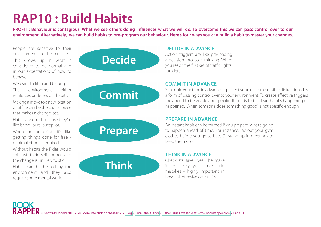### **RAP10 : Build Habits**

**PROFIT : Behaviour is contagious. What we see others doing influences what we will do. To overcome this we can pass control over to our environment. Alternatively, we can build habits to pre-program our behaviour. Here's four ways you can build a habit to master your changes.** 

People are sensitive to their environment and their culture.

This shows up in what is considered to be normal and in our expectations of how to behave.

We want to fit in and belong. The environment either reinforces or deters our habits.

Making a move to a new location or office can be the crucial piece that makes a change last.

Habits are good because they're like behavioural autopilot.

When on autopilot, it's like getting things done for free minimal effort is required.

Without habits the Rider would exhaust their self-control and the change is unlikely to stick. Habits can be helped by the environment and they also require some mental work.

# **Decide**

![](_page_13_Picture_10.jpeg)

![](_page_13_Picture_11.jpeg)

![](_page_13_Picture_12.jpeg)

#### **Decide in Advance**

Action triggers are like pre-loading a decision into your thinking. When you reach the first set of traffic lights, turn left.

#### **Commit in Advance**

Schedule your time in advance to protect yourself from possible distractions. It's a form of passing control over to your environment. To create effective triggers they need to be visible and specific. It needs to be clear that it's happening or happened. 'When someone does something good' is not specific enough.

#### **Prepare in Advance**

An instant habit can be formed if you prepare what's going to happen ahead of time. For instance, lay out your gym clothes before you go to bed. Or stand up in meetings to keep them short.

#### **Think in Advance**

Checklists save lives. The make it less likely you'll make big mistakes - highly important in hospital intensive care units.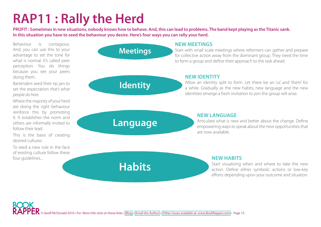### **RAP11 : Rally the Herd**

**PROFIT : Sometimes in new situations, nobody knows how to behave. And, this can lead to problems. The band kept playing as the Titanic sank. In this situation you have to seed the behaviour you desire. Here's four ways you can rally your herd.** 

Behaviour is contagious. And, you can use this to your advantage to set the tone for what is normal. It's called peer perception. You do things because you see your peers doing them.

Bartenders seed their tip jars to set the expectation *that's what people do here*.

Where the majority of your herd are doing the right behaviour reinforce this by promoting it. It establishes the norm and others are informally invited to follow their lead.

This is the basis of creating desired cultures.

To seed a new rule in the face of existing culture follow these four guidelines...

### **Meetings**

**Identity**

#### **New Meetings**

Start with small scale meetings where reformers can gather and prepare for collective action away from the dominant group. They need the time to form a group and define their approach to the task ahead.

#### **New Identity**

Allow an identity split to form. Let there be an 'us' and 'them' for a while. Gradually as the new habits, new language and the new identities emerge a fresh invitation to join the group will arise.

**Language**

**Habits**

#### **New Language**

Articulate what is new and better about the change. Define empowering ways to speak about the new opportunities that are now available.

#### **New Habits**

Start visualizing when and where to take the new action. Define either symbolic actions or low-key efforts depending upon your outcome and situation.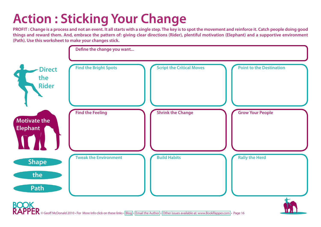## **Action : Sticking Your Change**

**PROFIT : Change is a process and not an event. It all starts with a single step. The key is to spot the movement and reinforce it. Catch people doing good things and reward them. And, embrace the pattern of: giving clear directions (Rider), plentiful motivation (Elephant) and a supportive environment (Path). Use this worksheet to make your changes stick.** 

![](_page_15_Figure_2.jpeg)

© Geoff McDonald 2010 • For More Info click on these links • [Blog](http://www.bookrapper.com/blog.html) • [Email the Author](Mailto: Geoff@BookRapper.com) • [Other issues available at: www.BookRapper.com](www.BookRapper.com) • Page 16